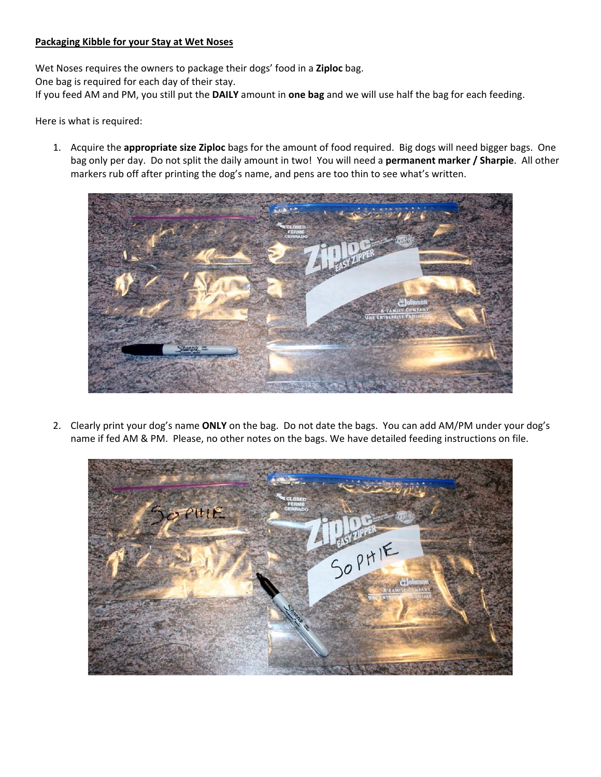## **Packaging Kibble for your Stay at Wet Noses**

Wet Noses requires the owners to package their dogs' food in a **Ziploc** bag.

One bag is required for each day of their stay.

If you feed AM and PM, you still put the **DAILY** amount in **one bag** and we will use half the bag for each feeding.

Here is what is required:

1. Acquire the **appropriate size Ziploc** bags for the amount of food required. Big dogs will need bigger bags. One bag only per day. Do not split the daily amount in two! You will need a **permanent marker / Sharpie**. All other markers rub off after printing the dog's name, and pens are too thin to see what's written.



2. Clearly print your dog's name **ONLY** on the bag. Do not date the bags. You can add AM/PM under your dog's name if fed AM & PM. Please, no other notes on the bags. We have detailed feeding instructions on file.